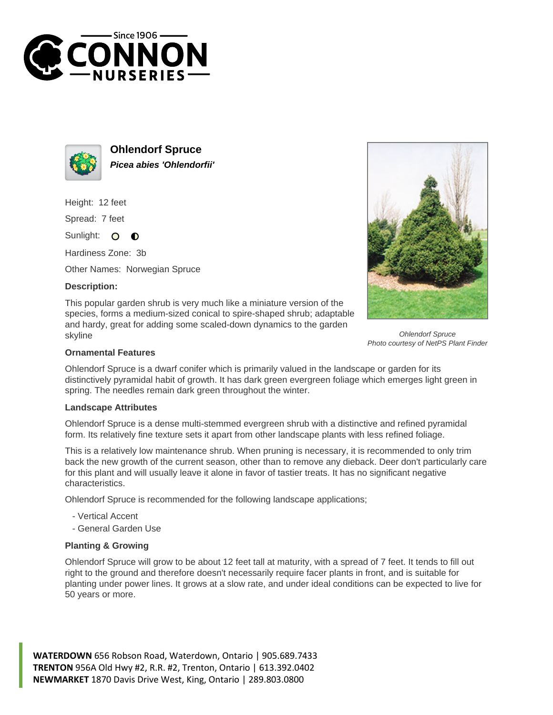



**Ohlendorf Spruce Picea abies 'Ohlendorfii'**

Height: 12 feet

Spread: 7 feet

Sunlight: O  $\bullet$ 

Hardiness Zone: 3b

Other Names: Norwegian Spruce

## **Description:**

This popular garden shrub is very much like a miniature version of the species, forms a medium-sized conical to spire-shaped shrub; adaptable and hardy, great for adding some scaled-down dynamics to the garden skyline



Ohlendorf Spruce Photo courtesy of NetPS Plant Finder

## **Ornamental Features**

Ohlendorf Spruce is a dwarf conifer which is primarily valued in the landscape or garden for its distinctively pyramidal habit of growth. It has dark green evergreen foliage which emerges light green in spring. The needles remain dark green throughout the winter.

## **Landscape Attributes**

Ohlendorf Spruce is a dense multi-stemmed evergreen shrub with a distinctive and refined pyramidal form. Its relatively fine texture sets it apart from other landscape plants with less refined foliage.

This is a relatively low maintenance shrub. When pruning is necessary, it is recommended to only trim back the new growth of the current season, other than to remove any dieback. Deer don't particularly care for this plant and will usually leave it alone in favor of tastier treats. It has no significant negative characteristics.

Ohlendorf Spruce is recommended for the following landscape applications;

- Vertical Accent
- General Garden Use

## **Planting & Growing**

Ohlendorf Spruce will grow to be about 12 feet tall at maturity, with a spread of 7 feet. It tends to fill out right to the ground and therefore doesn't necessarily require facer plants in front, and is suitable for planting under power lines. It grows at a slow rate, and under ideal conditions can be expected to live for 50 years or more.

**WATERDOWN** 656 Robson Road, Waterdown, Ontario | 905.689.7433 **TRENTON** 956A Old Hwy #2, R.R. #2, Trenton, Ontario | 613.392.0402 **NEWMARKET** 1870 Davis Drive West, King, Ontario | 289.803.0800